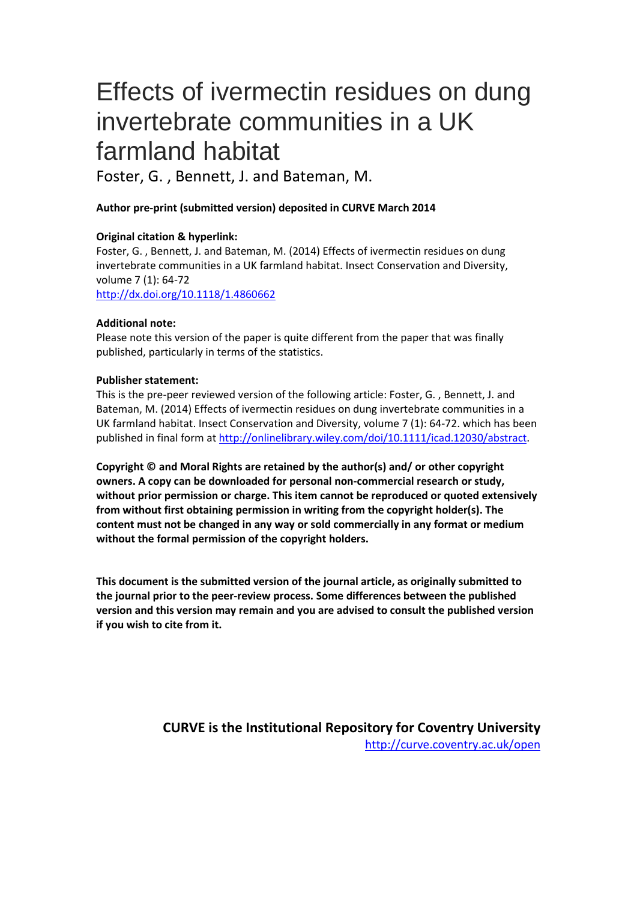# Effects of ivermectin residues on dung invertebrate communities in a UK farmland habitat

Foster, G. , Bennett, J. and Bateman, M.

# **Author pre-print (submitted version) deposited in CURVE March 2014**

# **Original citation & hyperlink:**

Foster, G. , Bennett, J. and Bateman, M. (2014) Effects of ivermectin residues on dung invertebrate communities in a UK farmland habitat. Insect Conservation and Diversity, volume 7 (1): 64-72

<http://dx.doi.org/10.1118/1.4860662>

# **Additional note:**

Please note this version of the paper is quite different from the paper that was finally published, particularly in terms of the statistics.

# **Publisher statement:**

This is the pre-peer reviewed version of the following article: Foster, G. , Bennett, J. and Bateman, M. (2014) Effects of ivermectin residues on dung invertebrate communities in a UK farmland habitat. Insect Conservation and Diversity, volume 7 (1): 64-72. which has been published in final form at http://onlinelibrary.wiley.com/doi/10.1111/icad.12030/abstract.

**Copyright © and Moral Rights are retained by the author(s) and/ or other copyright owners. A copy can be downloaded for personal non-commercial research or study, without prior permission or charge. This item cannot be reproduced or quoted extensively from without first obtaining permission in writing from the copyright holder(s). The content must not be changed in any way or sold commercially in any format or medium without the formal permission of the copyright holders.** 

**This document is the submitted version of the journal article, as originally submitted to the journal prior to the peer-review process. Some differences between the published version and this version may remain and you are advised to consult the published version if you wish to cite from it.** 

> **CURVE is the Institutional Repository for Coventry University** http://curve.coventry.ac.uk/open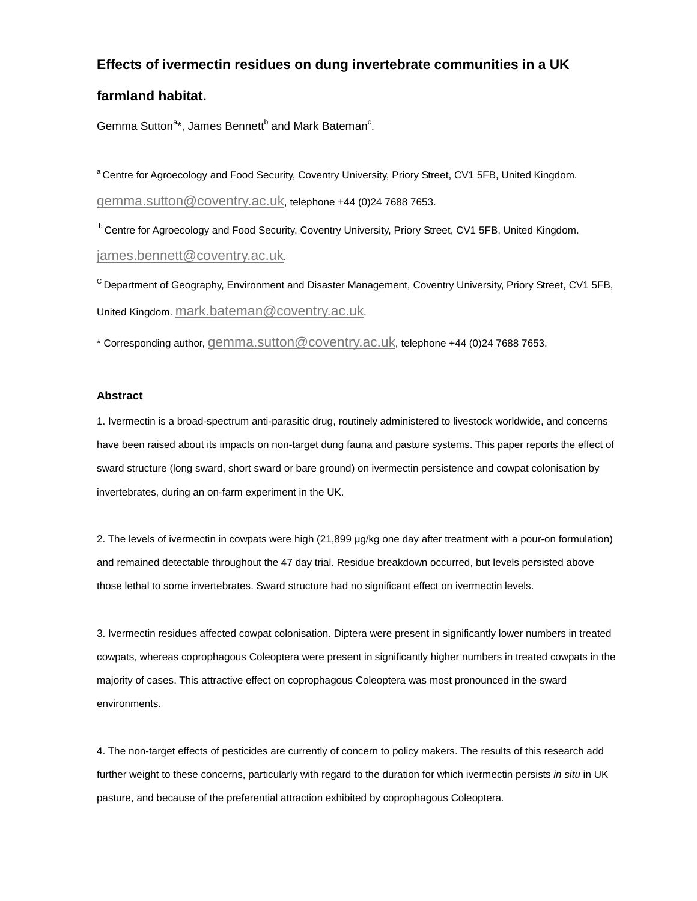# **Effects of ivermectin residues on dung invertebrate communities in a UK**

# **farmland habitat.**

Gemma Sutton<sup>a\*</sup>, James Bennett<sup>b</sup> and Mark Bateman<sup>c</sup>.

<sup>a</sup> Centre for Agroecology and Food Security, Coventry University, Priory Street, CV1 5FB, United Kingdom. [gemma.sutton@coventry.ac.uk,](mailto:gemma.sutton@coventry.ac.uk) telephone +44 (0)24 7688 7653.

**b Centre for Agroecology and Food Security, Coventry University, Priory Street, CV1 5FB, United Kingdom.** [james.bennett@coventry.ac.uk.](mailto:james.bennett@coventry.ac.uk)

C Department of Geography, Environment and Disaster Management, Coventry University, Priory Street, CV1 5FB, United Kingdom. [mark.bateman@coventry.ac.uk.](mailto:mark.bateman@coventry.ac.uk)

\* Corresponding author[, gemma.sutton@coventry.ac.uk,](mailto:gemma.sutton@coventry.ac.uk) telephone +44 (0)24 7688 7653.

## **Abstract**

1. Ivermectin is a broad-spectrum anti-parasitic drug, routinely administered to livestock worldwide, and concerns have been raised about its impacts on non-target dung fauna and pasture systems. This paper reports the effect of sward structure (long sward, short sward or bare ground) on ivermectin persistence and cowpat colonisation by invertebrates, during an on-farm experiment in the UK.

2. The levels of ivermectin in cowpats were high (21,899 μg/kg one day after treatment with a pour-on formulation) and remained detectable throughout the 47 day trial. Residue breakdown occurred, but levels persisted above those lethal to some invertebrates. Sward structure had no significant effect on ivermectin levels.

3. Ivermectin residues affected cowpat colonisation. Diptera were present in significantly lower numbers in treated cowpats, whereas coprophagous Coleoptera were present in significantly higher numbers in treated cowpats in the majority of cases. This attractive effect on coprophagous Coleoptera was most pronounced in the sward environments.

4. The non-target effects of pesticides are currently of concern to policy makers. The results of this research add further weight to these concerns, particularly with regard to the duration for which ivermectin persists *in situ* in UK pasture, and because of the preferential attraction exhibited by coprophagous Coleoptera.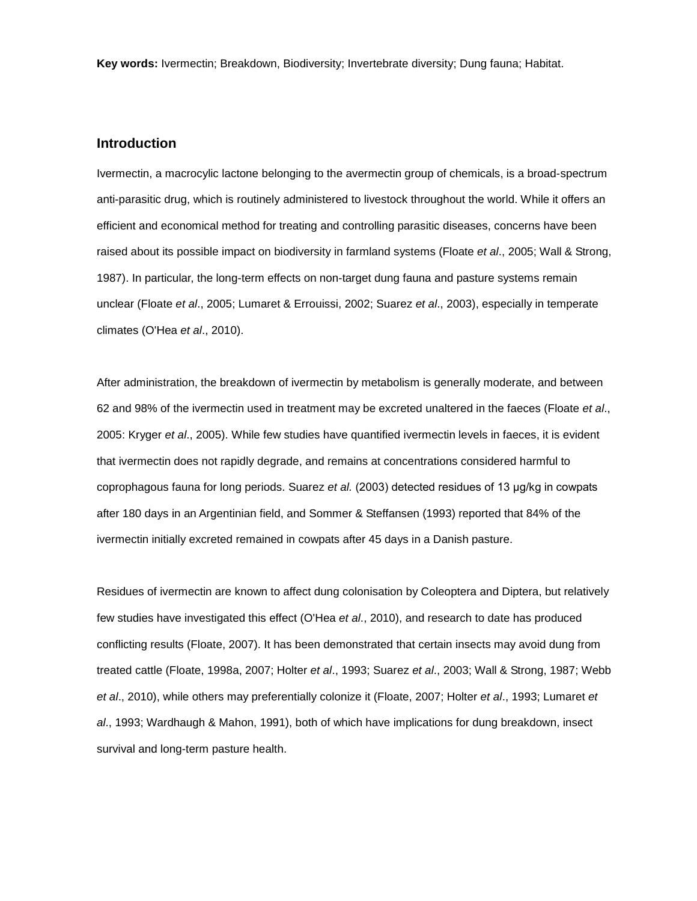**Key words:** Ivermectin; Breakdown, Biodiversity; Invertebrate diversity; Dung fauna; Habitat.

## **Introduction**

Ivermectin, a macrocylic lactone belonging to the avermectin group of chemicals, is a broad-spectrum anti-parasitic drug, which is routinely administered to livestock throughout the world. While it offers an efficient and economical method for treating and controlling parasitic diseases, concerns have been raised about its possible impact on biodiversity in farmland systems (Floate *et al*., 2005; Wall & Strong, 1987). In particular, the long-term effects on non-target dung fauna and pasture systems remain unclear (Floate *et al*., 2005; Lumaret & Errouissi, 2002; Suarez *et al*., 2003), especially in temperate climates (O'Hea *et al*., 2010).

After administration, the breakdown of ivermectin by metabolism is generally moderate, and between 62 and 98% of the ivermectin used in treatment may be excreted unaltered in the faeces (Floate *et al*., 2005: Kryger *et al*., 2005). While few studies have quantified ivermectin levels in faeces, it is evident that ivermectin does not rapidly degrade, and remains at concentrations considered harmful to coprophagous fauna for long periods. Suarez *et al.* (2003) detected residues of 13 μg/kg in cowpats after 180 days in an Argentinian field, and Sommer & Steffansen (1993) reported that 84% of the ivermectin initially excreted remained in cowpats after 45 days in a Danish pasture.

Residues of ivermectin are known to affect dung colonisation by Coleoptera and Diptera, but relatively few studies have investigated this effect (O'Hea *et al*., 2010), and research to date has produced conflicting results (Floate, 2007). It has been demonstrated that certain insects may avoid dung from treated cattle (Floate, 1998a, 2007; Holter *et al*., 1993; Suarez *et al*., 2003; Wall & Strong, 1987; Webb *et al*., 2010), while others may preferentially colonize it (Floate, 2007; Holter *et al*., 1993; Lumaret *et al*., 1993; Wardhaugh & Mahon, 1991), both of which have implications for dung breakdown, insect survival and long-term pasture health.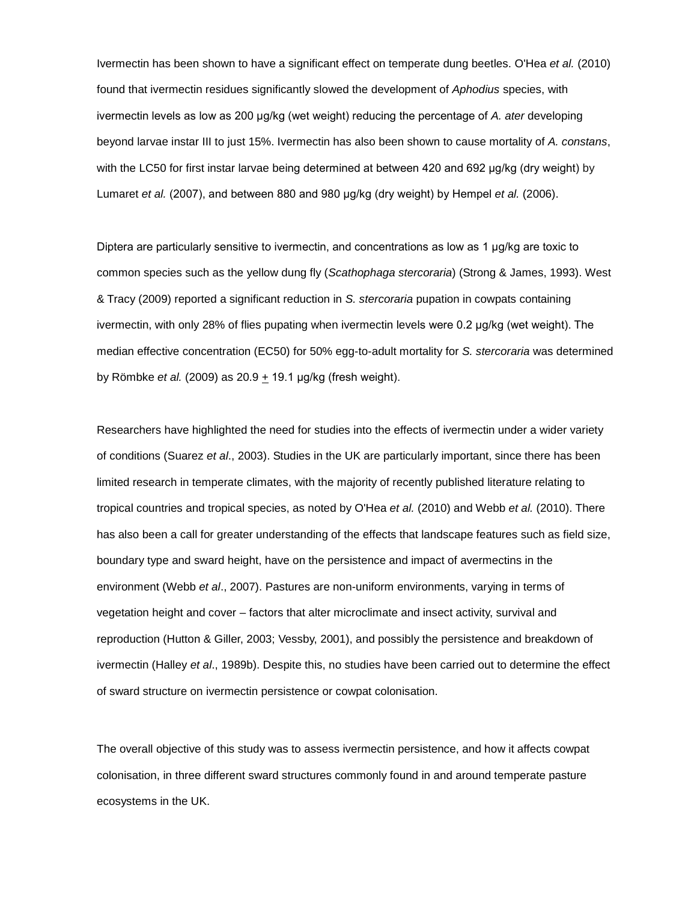Ivermectin has been shown to have a significant effect on temperate dung beetles. O'Hea *et al.* (2010) found that ivermectin residues significantly slowed the development of *Aphodius* species, with ivermectin levels as low as 200 μg/kg (wet weight) reducing the percentage of *A. ater* developing beyond larvae instar III to just 15%. Ivermectin has also been shown to cause mortality of *A. constans*, with the LC50 for first instar larvae being determined at between 420 and 692 μg/kg (dry weight) by Lumaret *et al.* (2007), and between 880 and 980 μg/kg (dry weight) by Hempel *et al.* (2006).

Diptera are particularly sensitive to ivermectin, and concentrations as low as 1 μg/kg are toxic to common species such as the yellow dung fly (*Scathophaga stercoraria*) (Strong & James, 1993). West & Tracy (2009) reported a significant reduction in *S. stercoraria* pupation in cowpats containing ivermectin, with only 28% of flies pupating when ivermectin levels were 0.2 μg/kg (wet weight). The median effective concentration (EC50) for 50% egg-to-adult mortality for *S. stercoraria* was determined by Römbke *et al.* (2009) as 20.9 + 19.1 μg/kg (fresh weight).

Researchers have highlighted the need for studies into the effects of ivermectin under a wider variety of conditions (Suarez *et al*., 2003). Studies in the UK are particularly important, since there has been limited research in temperate climates, with the majority of recently published literature relating to tropical countries and tropical species, as noted by O'Hea *et al.* (2010) and Webb *et al.* (2010). There has also been a call for greater understanding of the effects that landscape features such as field size, boundary type and sward height, have on the persistence and impact of avermectins in the environment (Webb *et al*., 2007). Pastures are non-uniform environments, varying in terms of vegetation height and cover – factors that alter microclimate and insect activity, survival and reproduction (Hutton & Giller, 2003; Vessby, 2001), and possibly the persistence and breakdown of ivermectin (Halley *et al*., 1989b). Despite this, no studies have been carried out to determine the effect of sward structure on ivermectin persistence or cowpat colonisation.

The overall objective of this study was to assess ivermectin persistence, and how it affects cowpat colonisation, in three different sward structures commonly found in and around temperate pasture ecosystems in the UK.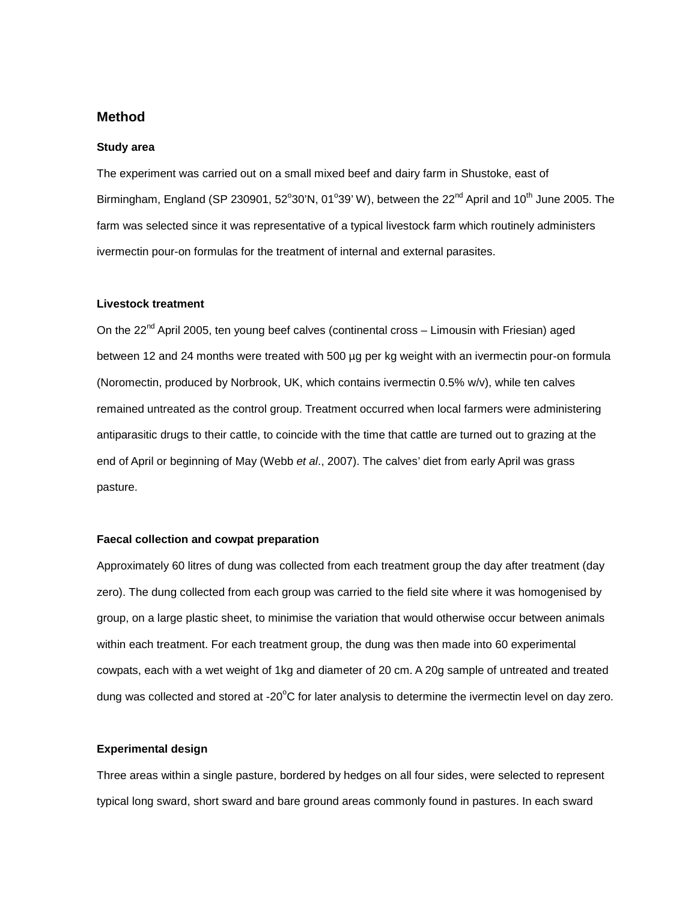# **Method**

#### **Study area**

The experiment was carried out on a small mixed beef and dairy farm in Shustoke, east of Birmingham, England (SP 230901, 52°30'N, 01°39' W), between the 22<sup>nd</sup> April and 10<sup>th</sup> June 2005. The farm was selected since it was representative of a typical livestock farm which routinely administers ivermectin pour-on formulas for the treatment of internal and external parasites.

## **Livestock treatment**

On the  $22^{nd}$  April 2005, ten young beef calves (continental cross – Limousin with Friesian) aged between 12 and 24 months were treated with 500 µg per kg weight with an ivermectin pour-on formula (Noromectin, produced by Norbrook, UK, which contains ivermectin 0.5% w/v), while ten calves remained untreated as the control group. Treatment occurred when local farmers were administering antiparasitic drugs to their cattle, to coincide with the time that cattle are turned out to grazing at the end of April or beginning of May (Webb *et al*., 2007). The calves' diet from early April was grass pasture.

## **Faecal collection and cowpat preparation**

Approximately 60 litres of dung was collected from each treatment group the day after treatment (day zero). The dung collected from each group was carried to the field site where it was homogenised by group, on a large plastic sheet, to minimise the variation that would otherwise occur between animals within each treatment. For each treatment group, the dung was then made into 60 experimental cowpats, each with a wet weight of 1kg and diameter of 20 cm. A 20g sample of untreated and treated dung was collected and stored at -20°C for later analysis to determine the ivermectin level on day zero.

#### **Experimental design**

Three areas within a single pasture, bordered by hedges on all four sides, were selected to represent typical long sward, short sward and bare ground areas commonly found in pastures. In each sward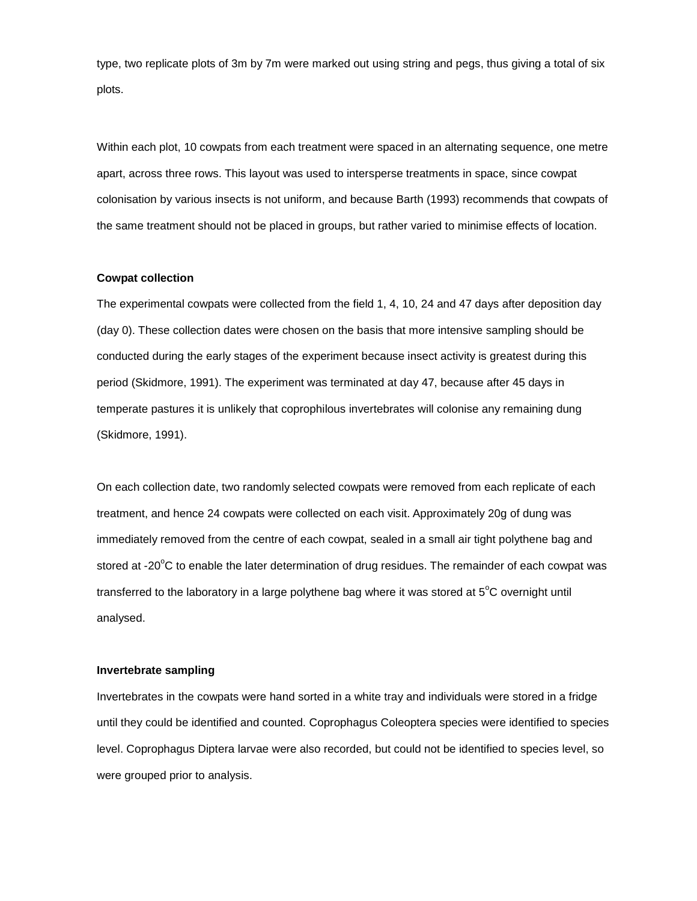type, two replicate plots of 3m by 7m were marked out using string and pegs, thus giving a total of six plots.

Within each plot, 10 cowpats from each treatment were spaced in an alternating sequence, one metre apart, across three rows. This layout was used to intersperse treatments in space, since cowpat colonisation by various insects is not uniform, and because Barth (1993) recommends that cowpats of the same treatment should not be placed in groups, but rather varied to minimise effects of location.

## **Cowpat collection**

The experimental cowpats were collected from the field 1, 4, 10, 24 and 47 days after deposition day (day 0). These collection dates were chosen on the basis that more intensive sampling should be conducted during the early stages of the experiment because insect activity is greatest during this period (Skidmore, 1991). The experiment was terminated at day 47, because after 45 days in temperate pastures it is unlikely that coprophilous invertebrates will colonise any remaining dung (Skidmore, 1991).

On each collection date, two randomly selected cowpats were removed from each replicate of each treatment, and hence 24 cowpats were collected on each visit. Approximately 20g of dung was immediately removed from the centre of each cowpat, sealed in a small air tight polythene bag and stored at -20 $\mathrm{^{\circ}C}$  to enable the later determination of drug residues. The remainder of each cowpat was transferred to the laboratory in a large polythene bag where it was stored at  $5^{\circ}$ C overnight until analysed.

## **Invertebrate sampling**

Invertebrates in the cowpats were hand sorted in a white tray and individuals were stored in a fridge until they could be identified and counted. Coprophagus Coleoptera species were identified to species level. Coprophagus Diptera larvae were also recorded, but could not be identified to species level, so were grouped prior to analysis.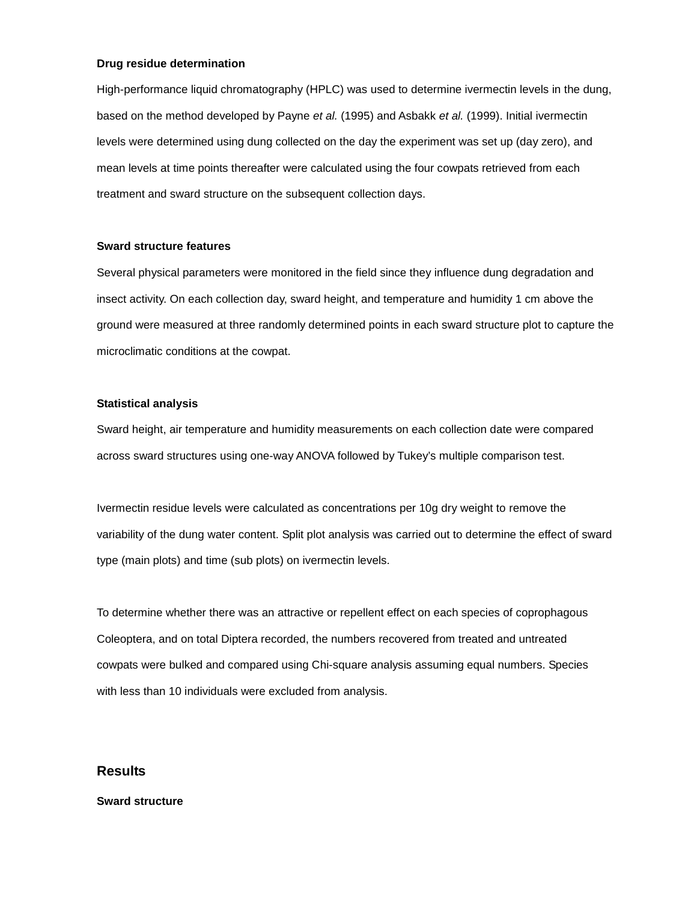#### **Drug residue determination**

High-performance liquid chromatography (HPLC) was used to determine ivermectin levels in the dung, based on the method developed by Payne *et al.* (1995) and Asbakk *et al.* (1999). Initial ivermectin levels were determined using dung collected on the day the experiment was set up (day zero), and mean levels at time points thereafter were calculated using the four cowpats retrieved from each treatment and sward structure on the subsequent collection days.

#### **Sward structure features**

Several physical parameters were monitored in the field since they influence dung degradation and insect activity. On each collection day, sward height, and temperature and humidity 1 cm above the ground were measured at three randomly determined points in each sward structure plot to capture the microclimatic conditions at the cowpat.

## **Statistical analysis**

Sward height, air temperature and humidity measurements on each collection date were compared across sward structures using one-way ANOVA followed by Tukey's multiple comparison test.

Ivermectin residue levels were calculated as concentrations per 10g dry weight to remove the variability of the dung water content. Split plot analysis was carried out to determine the effect of sward type (main plots) and time (sub plots) on ivermectin levels.

To determine whether there was an attractive or repellent effect on each species of coprophagous Coleoptera, and on total Diptera recorded, the numbers recovered from treated and untreated cowpats were bulked and compared using Chi-square analysis assuming equal numbers. Species with less than 10 individuals were excluded from analysis.

# **Results**

#### **Sward structure**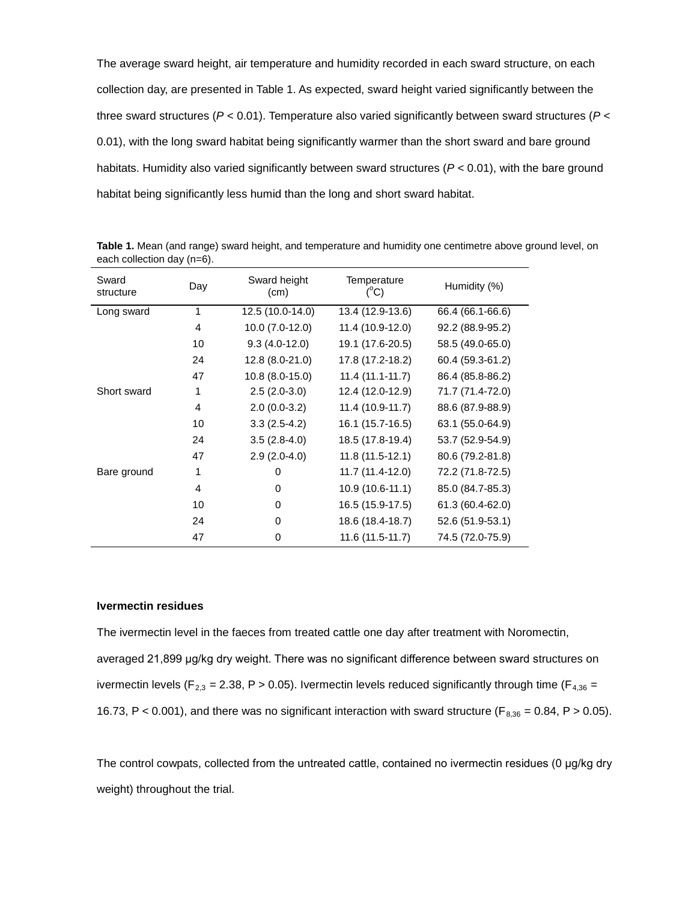The average sward height, air temperature and humidity recorded in each sward structure, on each collection day, are presented in Table 1. As expected, sward height varied significantly between the three sward structures (*P* < 0.01). Temperature also varied significantly between sward structures (*P* < 0.01), with the long sward habitat being significantly warmer than the short sward and bare ground habitats. Humidity also varied significantly between sward structures (*P* < 0.01), with the bare ground habitat being significantly less humid than the long and short sward habitat.

| Sward<br>structure | Day | Sward height<br>(cm) | Temperature<br>$(^{\circ}C)$ | Humidity (%)     |  |  |  |  |  |  |
|--------------------|-----|----------------------|------------------------------|------------------|--|--|--|--|--|--|
| Long sward         | 1   | 12.5 (10.0-14.0)     | 13.4 (12.9-13.6)             | 66.4 (66.1-66.6) |  |  |  |  |  |  |
|                    | 4   | 10.0 (7.0-12.0)      | 11.4 (10.9-12.0)             | 92.2 (88.9-95.2) |  |  |  |  |  |  |
|                    | 10  | $9.3(4.0-12.0)$      | 19.1 (17.6-20.5)             | 58.5 (49.0-65.0) |  |  |  |  |  |  |
|                    | 24  | 12.8 (8.0-21.0)      | 17.8 (17.2-18.2)             | 60.4 (59.3-61.2) |  |  |  |  |  |  |
|                    | 47  | 10.8 (8.0-15.0)      | $11.4(11.1-11.7)$            | 86.4 (85.8-86.2) |  |  |  |  |  |  |
| Short sward        | 1   | $2.5(2.0-3.0)$       | 12.4 (12.0-12.9)             | 71.7 (71.4-72.0) |  |  |  |  |  |  |
|                    | 4   | $2.0(0.0-3.2)$       | 11.4 (10.9-11.7)             | 88.6 (87.9-88.9) |  |  |  |  |  |  |
|                    | 10  | $3.3(2.5-4.2)$       | 16.1 (15.7-16.5)             | 63.1 (55.0-64.9) |  |  |  |  |  |  |
|                    | 24  | $3.5(2.8-4.0)$       | 18.5 (17.8-19.4)             | 53.7 (52.9-54.9) |  |  |  |  |  |  |
|                    | 47  | $2.9(2.0-4.0)$       | 11.8 (11.5-12.1)             | 80.6 (79.2-81.8) |  |  |  |  |  |  |
| Bare ground        | 1   | 0                    | 11.7 (11.4-12.0)             | 72.2 (71.8-72.5) |  |  |  |  |  |  |
|                    | 4   | 0                    | 10.9 (10.6-11.1)             | 85.0 (84.7-85.3) |  |  |  |  |  |  |
|                    | 10  | 0                    | 16.5 (15.9-17.5)             | 61.3 (60.4-62.0) |  |  |  |  |  |  |
|                    | 24  | 0                    | 18.6 (18.4-18.7)             | 52.6 (51.9-53.1) |  |  |  |  |  |  |
|                    | 47  | 0                    | 11.6 (11.5-11.7)             | 74.5 (72.0-75.9) |  |  |  |  |  |  |

**Table 1.** Mean (and range) sward height, and temperature and humidity one centimetre above ground level, on each collection day (n=6).

### **Ivermectin residues**

The ivermectin level in the faeces from treated cattle one day after treatment with Noromectin, averaged 21,899 μg/kg dry weight. There was no significant difference between sward structures on ivermectin levels (F<sub>2,3</sub> = 2.38, P > 0.05). Ivermectin levels reduced significantly through time (F<sub>4,36</sub> = 16.73, P < 0.001), and there was no significant interaction with sward structure ( $F_{8,36} = 0.84$ , P > 0.05).

The control cowpats, collected from the untreated cattle, contained no ivermectin residues (0 μg/kg dry weight) throughout the trial.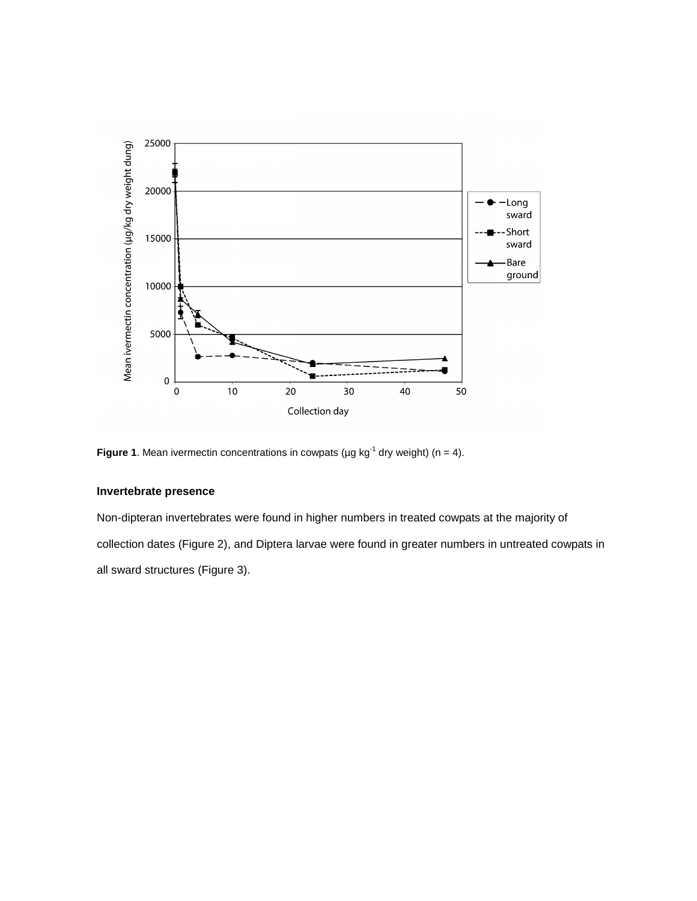

**Figure 1**. Mean ivermectin concentrations in cowpats ( $\mu$ g kg<sup>-1</sup> dry weight) (n = 4).

## **Invertebrate presence**

Non-dipteran invertebrates were found in higher numbers in treated cowpats at the majority of collection dates (Figure 2), and Diptera larvae were found in greater numbers in untreated cowpats in all sward structures (Figure 3).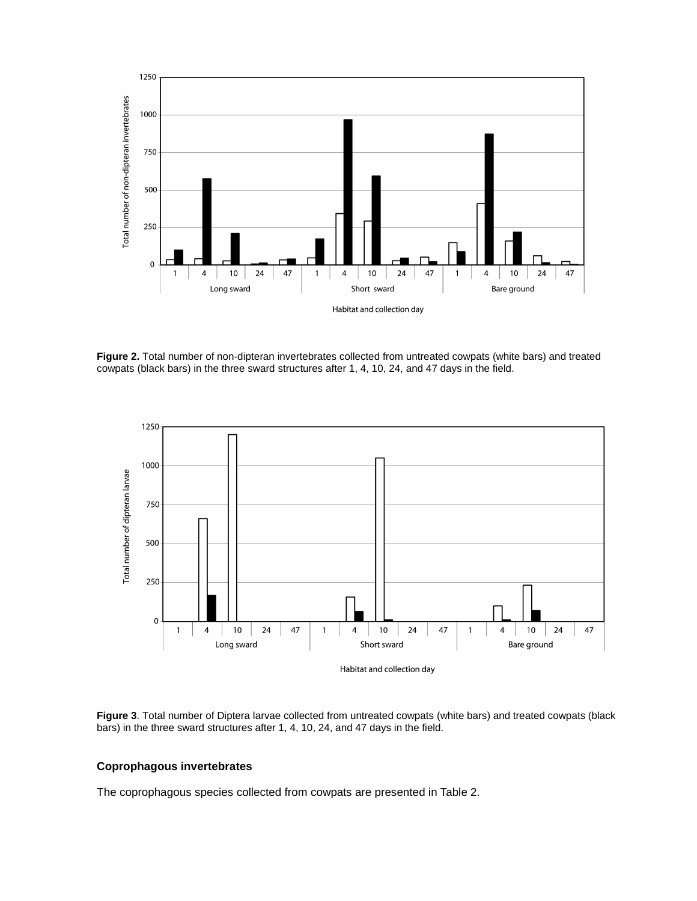

**Figure 2.** Total number of non-dipteran invertebrates collected from untreated cowpats (white bars) and treated cowpats (black bars) in the three sward structures after 1, 4, 10, 24, and 47 days in the field.



**Figure 3**. Total number of Diptera larvae collected from untreated cowpats (white bars) and treated cowpats (black bars) in the three sward structures after 1, 4, 10, 24, and 47 days in the field.

## **Coprophagous invertebrates**

The coprophagous species collected from cowpats are presented in Table 2.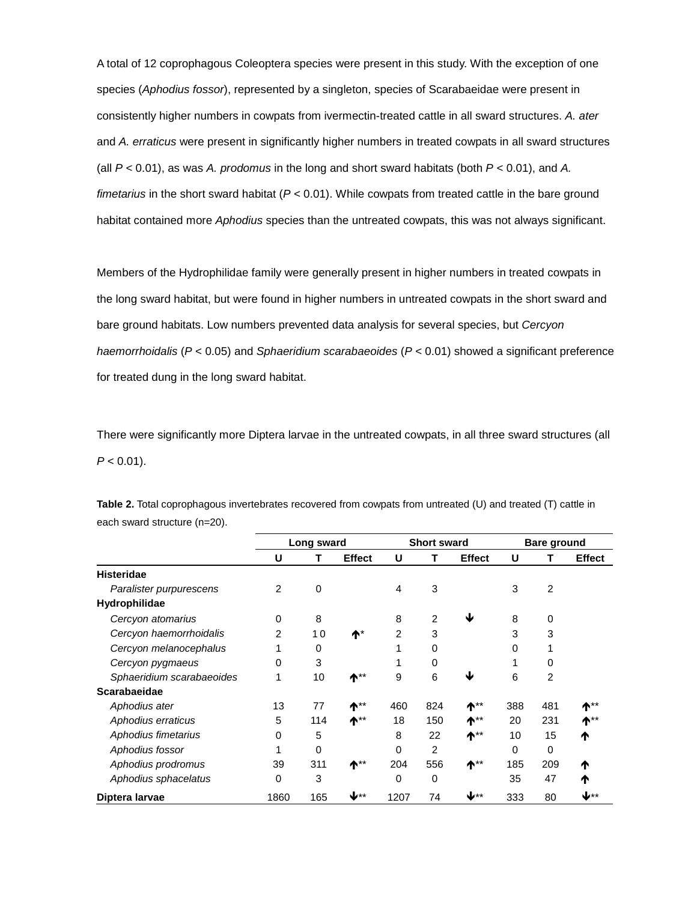A total of 12 coprophagous Coleoptera species were present in this study. With the exception of one species (*Aphodius fossor*), represented by a singleton, species of Scarabaeidae were present in consistently higher numbers in cowpats from ivermectin-treated cattle in all sward structures. *A. ater*  and *A. erraticus* were present in significantly higher numbers in treated cowpats in all sward structures (all *P* < 0.01), as was *A. prodomus* in the long and short sward habitats (both *P* < 0.01), and *A. fimetarius* in the short sward habitat (*P* < 0.01). While cowpats from treated cattle in the bare ground habitat contained more *Aphodius* species than the untreated cowpats, this was not always significant.

Members of the Hydrophilidae family were generally present in higher numbers in treated cowpats in the long sward habitat, but were found in higher numbers in untreated cowpats in the short sward and bare ground habitats. Low numbers prevented data analysis for several species, but *Cercyon haemorrhoidalis* (*P* < 0.05) and *Sphaeridium scarabaeoides* (*P* < 0.01) showed a significant preference for treated dung in the long sward habitat.

There were significantly more Diptera larvae in the untreated cowpats, in all three sward structures (all  $P < 0.01$ ).

|                           | Long sward |             |                       | <b>Short sward</b> |                |               | <b>Bare ground</b> |                |                 |
|---------------------------|------------|-------------|-----------------------|--------------------|----------------|---------------|--------------------|----------------|-----------------|
|                           | U          | Т           | <b>Effect</b>         | U                  | т              | <b>Effect</b> | U                  |                | <b>Effect</b>   |
| <b>Histeridae</b>         |            |             |                       |                    |                |               |                    |                |                 |
| Paralister purpurescens   | 2          | $\mathbf 0$ |                       | 4                  | 3              |               | 3                  | $\overline{2}$ |                 |
| Hydrophilidae             |            |             |                       |                    |                |               |                    |                |                 |
| Cercyon atomarius         | 0          | 8           |                       | 8                  | $\overline{2}$ | J             | 8                  | 0              |                 |
| Cercyon haemorrhoidalis   | 2          | 10          | ተ $^*$                | 2                  | 3              |               | 3                  | 3              |                 |
| Cercyon melanocephalus    | 1          | 0           |                       |                    | 0              |               | 0                  |                |                 |
| Cercyon pygmaeus          | 0          | 3           |                       |                    | 0              |               |                    | 0              |                 |
| Sphaeridium scarabaeoides | 1          | 10          | $\uparrow$ $\uparrow$ | 9                  | 6              | J             | 6                  | $\overline{2}$ |                 |
| Scarabaeidae              |            |             |                       |                    |                |               |                    |                |                 |
| Aphodius ater             | 13         | 77          | $\uparrow$ **         | 460                | 824            | $\uparrow$ ** | 388                | 481            | $\uparrow^{**}$ |
| Aphodius erraticus        | 5          | 114         | $\uparrow$ **         | 18                 | 150            | ተ**           | 20                 | 231            | $\uparrow^*$    |
| Aphodius fimetarius       | 0          | 5           |                       | 8                  | 22             | $\uparrow$ ** | 10                 | 15             | ₼               |
| Aphodius fossor           | 1          | 0           |                       | $\Omega$           | 2              |               | 0                  | 0              |                 |
| Aphodius prodromus        | 39         | 311         | $\uparrow$ **         | 204                | 556            | $\uparrow$ ** | 185                | 209            | ♠               |
| Aphodius sphacelatus      | 0          | 3           |                       | 0                  | 0              |               | 35                 | 47             | ♠               |
| Diptera larvae            | 1860       | 165         | ↓∗∗                   | 1207               | 74             | ∗∗اب          | 333                | 80             | Վ∗∗             |

**Table 2.** Total coprophagous invertebrates recovered from cowpats from untreated (U) and treated (T) cattle in each sward structure (n=20).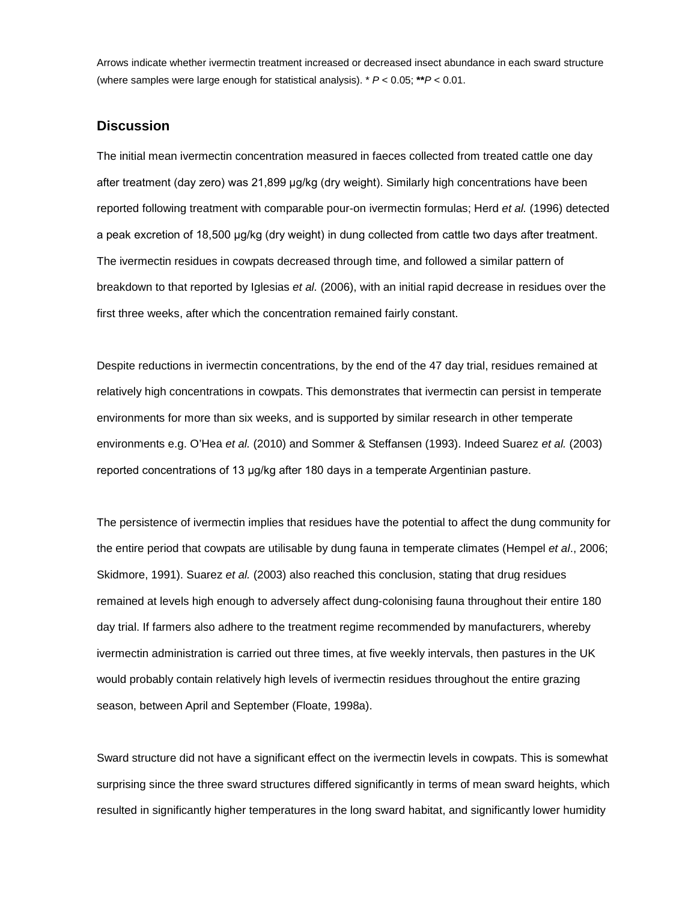Arrows indicate whether ivermectin treatment increased or decreased insect abundance in each sward structure (where samples were large enough for statistical analysis). \* *P* < 0.05; **\*\****P* < 0.01.

# **Discussion**

The initial mean ivermectin concentration measured in faeces collected from treated cattle one day after treatment (day zero) was 21,899 μg/kg (dry weight). Similarly high concentrations have been reported following treatment with comparable pour-on ivermectin formulas; Herd *et al.* (1996) detected a peak excretion of 18,500 μg/kg (dry weight) in dung collected from cattle two days after treatment. The ivermectin residues in cowpats decreased through time, and followed a similar pattern of breakdown to that reported by Iglesias *et al.* (2006), with an initial rapid decrease in residues over the first three weeks, after which the concentration remained fairly constant.

Despite reductions in ivermectin concentrations, by the end of the 47 day trial, residues remained at relatively high concentrations in cowpats. This demonstrates that ivermectin can persist in temperate environments for more than six weeks, and is supported by similar research in other temperate environments e.g. O'Hea *et al.* (2010) and Sommer & Steffansen (1993). Indeed Suarez *et al.* (2003) reported concentrations of 13 μg/kg after 180 days in a temperate Argentinian pasture.

The persistence of ivermectin implies that residues have the potential to affect the dung community for the entire period that cowpats are utilisable by dung fauna in temperate climates (Hempel *et al*., 2006; Skidmore, 1991). Suarez *et al.* (2003) also reached this conclusion, stating that drug residues remained at levels high enough to adversely affect dung-colonising fauna throughout their entire 180 day trial. If farmers also adhere to the treatment regime recommended by manufacturers, whereby ivermectin administration is carried out three times, at five weekly intervals, then pastures in the UK would probably contain relatively high levels of ivermectin residues throughout the entire grazing season, between April and September (Floate, 1998a).

Sward structure did not have a significant effect on the ivermectin levels in cowpats. This is somewhat surprising since the three sward structures differed significantly in terms of mean sward heights, which resulted in significantly higher temperatures in the long sward habitat, and significantly lower humidity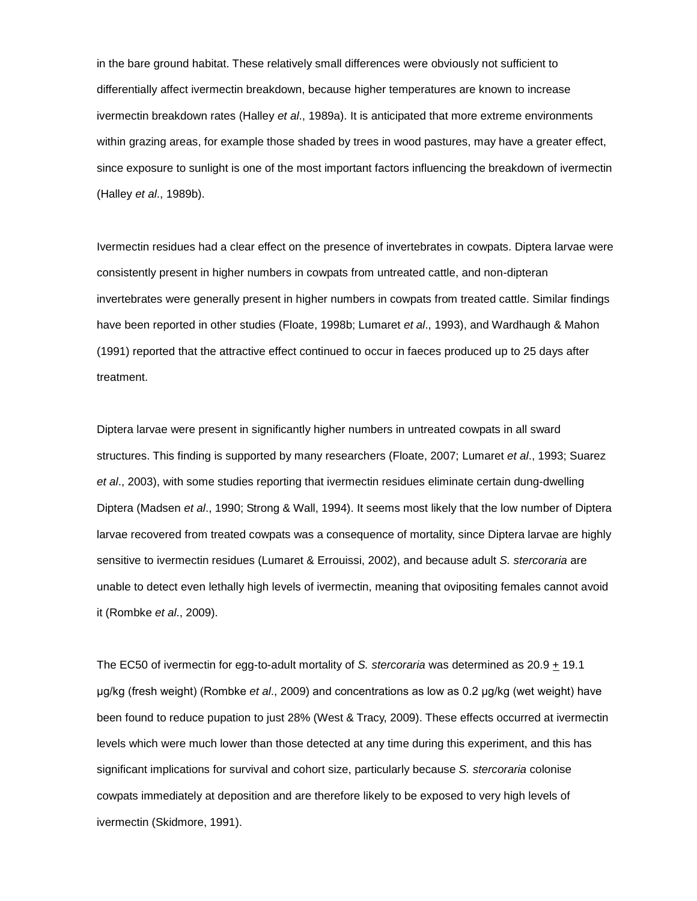in the bare ground habitat. These relatively small differences were obviously not sufficient to differentially affect ivermectin breakdown, because higher temperatures are known to increase ivermectin breakdown rates (Halley *et al*., 1989a). It is anticipated that more extreme environments within grazing areas, for example those shaded by trees in wood pastures, may have a greater effect, since exposure to sunlight is one of the most important factors influencing the breakdown of ivermectin (Halley *et al*., 1989b).

Ivermectin residues had a clear effect on the presence of invertebrates in cowpats. Diptera larvae were consistently present in higher numbers in cowpats from untreated cattle, and non-dipteran invertebrates were generally present in higher numbers in cowpats from treated cattle. Similar findings have been reported in other studies (Floate, 1998b; Lumaret *et al*., 1993), and Wardhaugh & Mahon (1991) reported that the attractive effect continued to occur in faeces produced up to 25 days after treatment.

Diptera larvae were present in significantly higher numbers in untreated cowpats in all sward structures. This finding is supported by many researchers (Floate, 2007; Lumaret *et al*., 1993; Suarez *et al*., 2003), with some studies reporting that ivermectin residues eliminate certain dung-dwelling Diptera (Madsen *et al*., 1990; Strong & Wall, 1994). It seems most likely that the low number of Diptera larvae recovered from treated cowpats was a consequence of mortality, since Diptera larvae are highly sensitive to ivermectin residues (Lumaret & Errouissi, 2002), and because adult *S. stercoraria* are unable to detect even lethally high levels of ivermectin, meaning that ovipositing females cannot avoid it (Rombke *et al*., 2009).

The EC50 of ivermectin for egg-to-adult mortality of *S. stercoraria* was determined as 20.9  $\pm$  19.1 μg/kg (fresh weight) (Rombke *et al*., 2009) and concentrations as low as 0.2 μg/kg (wet weight) have been found to reduce pupation to just 28% (West & Tracy, 2009). These effects occurred at ivermectin levels which were much lower than those detected at any time during this experiment, and this has significant implications for survival and cohort size, particularly because *S. stercoraria* colonise cowpats immediately at deposition and are therefore likely to be exposed to very high levels of ivermectin (Skidmore, 1991).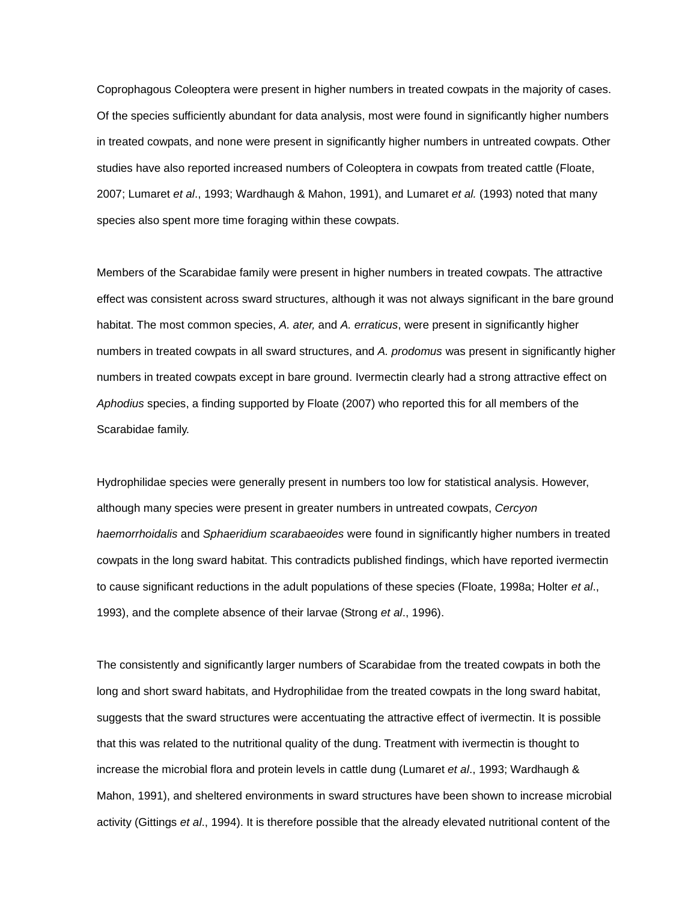Coprophagous Coleoptera were present in higher numbers in treated cowpats in the majority of cases. Of the species sufficiently abundant for data analysis, most were found in significantly higher numbers in treated cowpats, and none were present in significantly higher numbers in untreated cowpats. Other studies have also reported increased numbers of Coleoptera in cowpats from treated cattle (Floate, 2007; Lumaret *et al*., 1993; Wardhaugh & Mahon, 1991), and Lumaret *et al.* (1993) noted that many species also spent more time foraging within these cowpats.

Members of the Scarabidae family were present in higher numbers in treated cowpats. The attractive effect was consistent across sward structures, although it was not always significant in the bare ground habitat. The most common species, *A. ater,* and *A. erraticus*, were present in significantly higher numbers in treated cowpats in all sward structures, and *A. prodomus* was present in significantly higher numbers in treated cowpats except in bare ground. Ivermectin clearly had a strong attractive effect on *Aphodius* species, a finding supported by Floate (2007) who reported this for all members of the Scarabidae family.

Hydrophilidae species were generally present in numbers too low for statistical analysis. However, although many species were present in greater numbers in untreated cowpats, *Cercyon haemorrhoidalis* and *Sphaeridium scarabaeoides* were found in significantly higher numbers in treated cowpats in the long sward habitat. This contradicts published findings, which have reported ivermectin to cause significant reductions in the adult populations of these species (Floate, 1998a; Holter *et al*., 1993), and the complete absence of their larvae (Strong *et al*., 1996).

The consistently and significantly larger numbers of Scarabidae from the treated cowpats in both the long and short sward habitats, and Hydrophilidae from the treated cowpats in the long sward habitat, suggests that the sward structures were accentuating the attractive effect of ivermectin. It is possible that this was related to the nutritional quality of the dung. Treatment with ivermectin is thought to increase the microbial flora and protein levels in cattle dung (Lumaret *et al*., 1993; Wardhaugh & Mahon, 1991), and sheltered environments in sward structures have been shown to increase microbial activity (Gittings *et al*., 1994). It is therefore possible that the already elevated nutritional content of the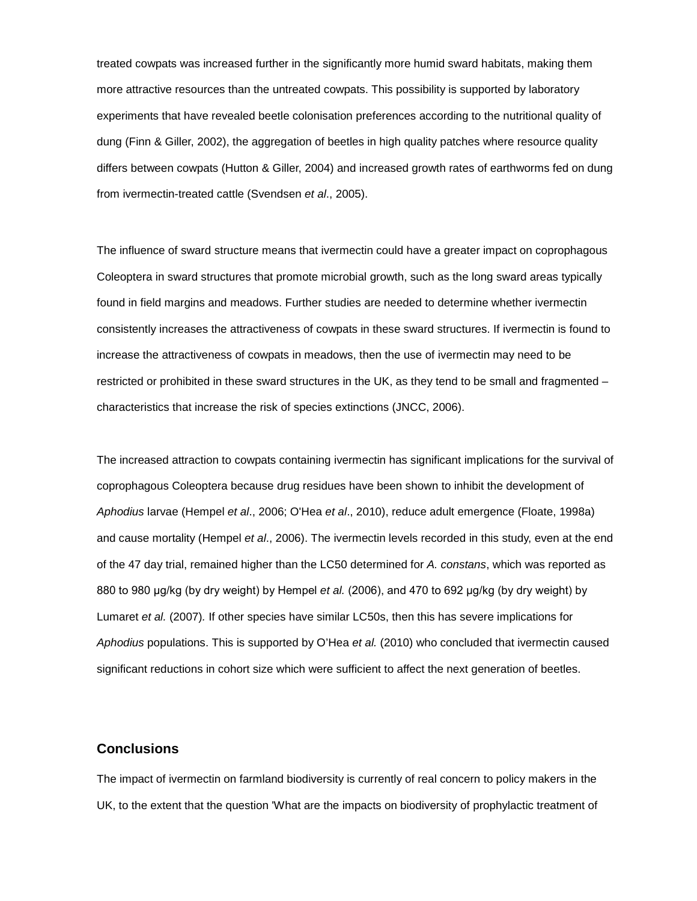treated cowpats was increased further in the significantly more humid sward habitats, making them more attractive resources than the untreated cowpats. This possibility is supported by laboratory experiments that have revealed beetle colonisation preferences according to the nutritional quality of dung (Finn & Giller, 2002), the aggregation of beetles in high quality patches where resource quality differs between cowpats (Hutton & Giller, 2004) and increased growth rates of earthworms fed on dung from ivermectin-treated cattle (Svendsen *et al*., 2005).

The influence of sward structure means that ivermectin could have a greater impact on coprophagous Coleoptera in sward structures that promote microbial growth, such as the long sward areas typically found in field margins and meadows. Further studies are needed to determine whether ivermectin consistently increases the attractiveness of cowpats in these sward structures. If ivermectin is found to increase the attractiveness of cowpats in meadows, then the use of ivermectin may need to be restricted or prohibited in these sward structures in the UK, as they tend to be small and fragmented – characteristics that increase the risk of species extinctions (JNCC, 2006).

The increased attraction to cowpats containing ivermectin has significant implications for the survival of coprophagous Coleoptera because drug residues have been shown to inhibit the development of *Aphodius* larvae (Hempel *et al*., 2006; O'Hea *et al*., 2010), reduce adult emergence (Floate, 1998a) and cause mortality (Hempel *et al*., 2006). The ivermectin levels recorded in this study, even at the end of the 47 day trial, remained higher than the LC50 determined for *A. constans*, which was reported as 880 to 980 μg/kg (by dry weight) by Hempel *et al.* (2006), and 470 to 692 μg/kg (by dry weight) by Lumaret *et al.* (2007)*.* If other species have similar LC50s, then this has severe implications for *Aphodius* populations. This is supported by O'Hea *et al.* (2010) who concluded that ivermectin caused significant reductions in cohort size which were sufficient to affect the next generation of beetles.

## **Conclusions**

The impact of ivermectin on farmland biodiversity is currently of real concern to policy makers in the UK, to the extent that the question 'What are the impacts on biodiversity of prophylactic treatment of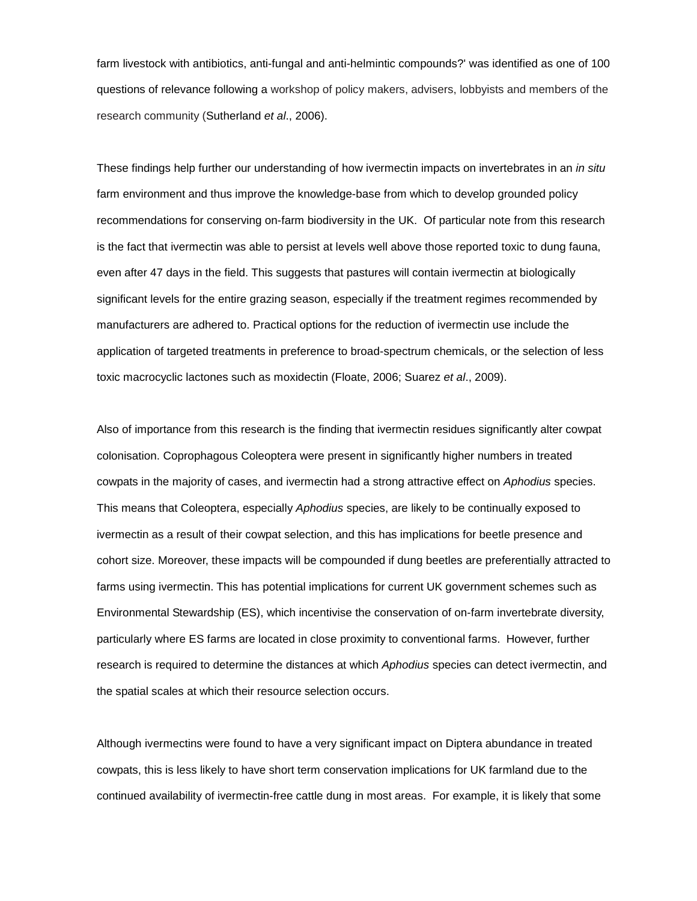farm livestock with antibiotics, anti-fungal and anti-helmintic compounds?' was identified as one of 100 questions of relevance following a workshop of policy makers, advisers, lobbyists and members of the research community (Sutherland *et al*., 2006).

These findings help further our understanding of how ivermectin impacts on invertebrates in an *in situ* farm environment and thus improve the knowledge-base from which to develop grounded policy recommendations for conserving on-farm biodiversity in the UK. Of particular note from this research is the fact that ivermectin was able to persist at levels well above those reported toxic to dung fauna, even after 47 days in the field. This suggests that pastures will contain ivermectin at biologically significant levels for the entire grazing season, especially if the treatment regimes recommended by manufacturers are adhered to. Practical options for the reduction of ivermectin use include the application of targeted treatments in preference to broad-spectrum chemicals, or the selection of less toxic macrocyclic lactones such as moxidectin (Floate, 2006; Suarez *et al*., 2009).

Also of importance from this research is the finding that ivermectin residues significantly alter cowpat colonisation. Coprophagous Coleoptera were present in significantly higher numbers in treated cowpats in the majority of cases, and ivermectin had a strong attractive effect on *Aphodius* species. This means that Coleoptera, especially *Aphodius* species, are likely to be continually exposed to ivermectin as a result of their cowpat selection, and this has implications for beetle presence and cohort size. Moreover, these impacts will be compounded if dung beetles are preferentially attracted to farms using ivermectin. This has potential implications for current UK government schemes such as Environmental Stewardship (ES), which incentivise the conservation of on-farm invertebrate diversity, particularly where ES farms are located in close proximity to conventional farms. However, further research is required to determine the distances at which *Aphodius* species can detect ivermectin, and the spatial scales at which their resource selection occurs.

Although ivermectins were found to have a very significant impact on Diptera abundance in treated cowpats, this is less likely to have short term conservation implications for UK farmland due to the continued availability of ivermectin-free cattle dung in most areas. For example, it is likely that some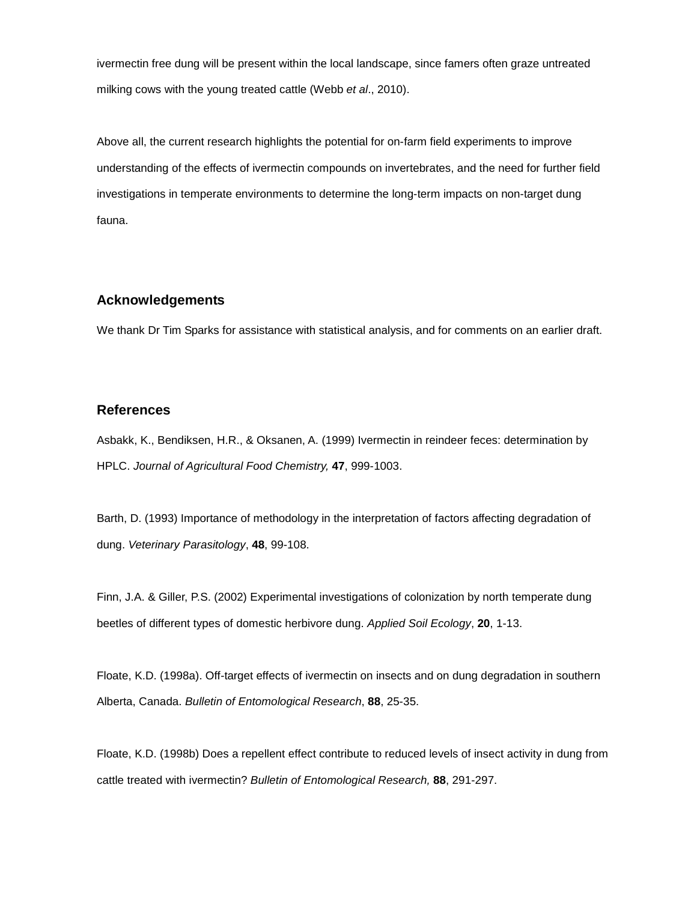ivermectin free dung will be present within the local landscape, since famers often graze untreated milking cows with the young treated cattle (Webb *et al*., 2010).

Above all, the current research highlights the potential for on-farm field experiments to improve understanding of the effects of ivermectin compounds on invertebrates, and the need for further field investigations in temperate environments to determine the long-term impacts on non-target dung fauna.

# **Acknowledgements**

We thank Dr Tim Sparks for assistance with statistical analysis, and for comments on an earlier draft.

## **References**

Asbakk, K., Bendiksen, H.R., & Oksanen, A. (1999) Ivermectin in reindeer feces: determination by HPLC. *Journal of Agricultural Food Chemistry,* **47**, 999-1003.

Barth, D. (1993) Importance of methodology in the interpretation of factors affecting degradation of dung. *Veterinary Parasitology*, **48**, 99-108.

Finn, J.A. & Giller, P.S. (2002) Experimental investigations of colonization by north temperate dung beetles of different types of domestic herbivore dung. *Applied Soil Ecology*, **20**, 1-13.

Floate, K.D. (1998a). Off-target effects of ivermectin on insects and on dung degradation in southern Alberta, Canada. *Bulletin of Entomological Research*, **88**, 25-35.

Floate, K.D. (1998b) Does a repellent effect contribute to reduced levels of insect activity in dung from cattle treated with ivermectin? *Bulletin of Entomological Research,* **88**, 291-297.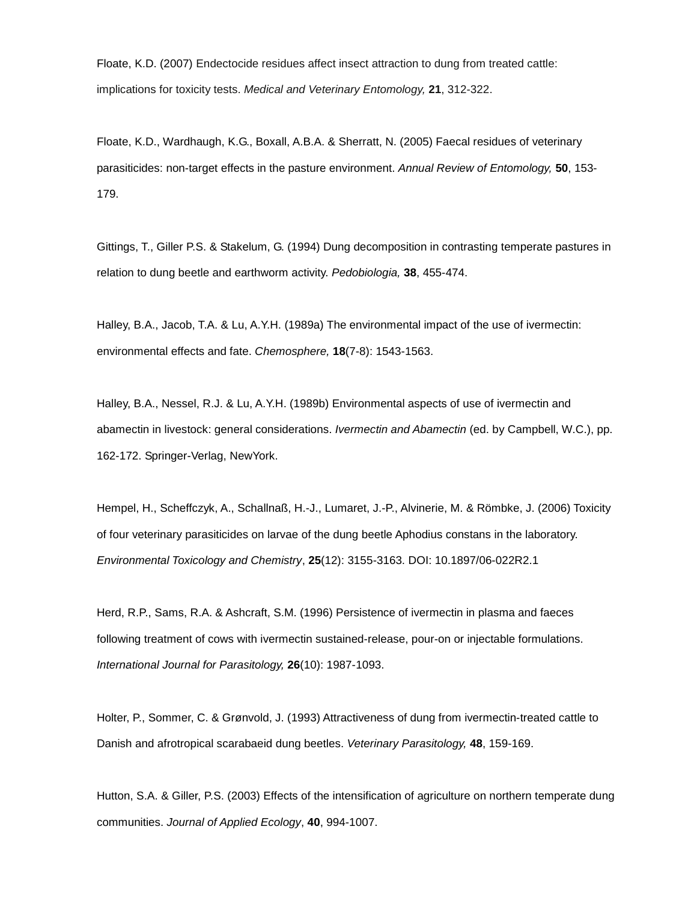Floate, K.D. (2007) Endectocide residues affect insect attraction to dung from treated cattle: implications for toxicity tests. *Medical and Veterinary Entomology,* **21**, 312-322.

Floate, K.D., Wardhaugh, K.G., Boxall, A.B.A. & Sherratt, N. (2005) Faecal residues of veterinary parasiticides: non-target effects in the pasture environment. *Annual Review of Entomology,* **50**, 153- 179.

Gittings, T., Giller P.S. & Stakelum, G. (1994) Dung decomposition in contrasting temperate pastures in relation to dung beetle and earthworm activity. *Pedobiologia,* **38**, 455-474.

Halley, B.A., Jacob, T.A. & Lu, A.Y.H. (1989a) The environmental impact of the use of ivermectin: environmental effects and fate. *Chemosphere,* **18**(7-8): 1543-1563.

Halley, B.A., Nessel, R.J. & Lu, A.Y.H. (1989b) Environmental aspects of use of ivermectin and abamectin in livestock: general considerations. *Ivermectin and Abamectin* (ed. by Campbell, W.C.), pp. 162-172. Springer-Verlag, NewYork.

Hempel, H., Scheffczyk, A., Schallnaß, H.-J., Lumaret, J.-P., Alvinerie, M. & Römbke, J. (2006) Toxicity of four veterinary parasiticides on larvae of the dung beetle Aphodius constans in the laboratory. *Environmental Toxicology and Chemistry*, **25**(12): 3155-3163. DOI: 10.1897/06-022R2.1

Herd, R.P., Sams, R.A. & Ashcraft, S.M. (1996) Persistence of ivermectin in plasma and faeces following treatment of cows with ivermectin sustained-release, pour-on or injectable formulations. *International Journal for Parasitology,* **26**(10): 1987-1093.

Holter, P., Sommer, C. & Grønvold, J. (1993) Attractiveness of dung from ivermectin-treated cattle to Danish and afrotropical scarabaeid dung beetles. *Veterinary Parasitology,* **48**, 159-169.

Hutton, S.A. & Giller, P.S. (2003) Effects of the intensification of agriculture on northern temperate dung communities. *Journal of Applied Ecology*, **40**, 994-1007.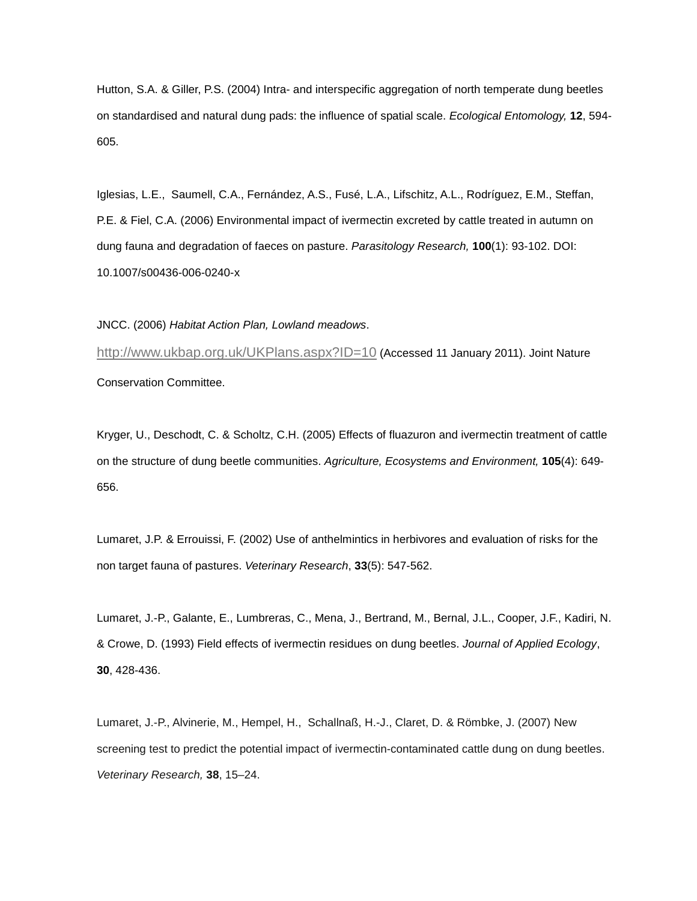Hutton, S.A. & Giller, P.S. (2004) Intra- and interspecific aggregation of north temperate dung beetles on standardised and natural dung pads: the influence of spatial scale. *Ecological Entomology,* **12**, 594- 605.

Iglesias, L.E., Saumell, C.A., Fernández, A.S., Fusé, L.A., Lifschitz, A.L., Rodríguez, E.M., Steffan, P.E. & Fiel, C.A. (2006) Environmental impact of ivermectin excreted by cattle treated in autumn on dung fauna and degradation of faeces on pasture. *Parasitology Research,* **100**(1): 93-102. DOI: 10.1007/s00436-006-0240-x

JNCC. (2006) *Habitat Action Plan, Lowland meadows*.

<http://www.ukbap.org.uk/UKPlans.aspx?ID=10> (Accessed 11 January 2011). Joint Nature Conservation Committee.

Kryger, U., Deschodt, C. & Scholtz, C.H. (2005) Effects of fluazuron and ivermectin treatment of cattle on the structure of dung beetle communities. *Agriculture, Ecosystems and Environment,* **105**(4): 649- 656.

Lumaret, J.P. & Errouissi, F. (2002) Use of anthelmintics in herbivores and evaluation of risks for the non target fauna of pastures. *Veterinary Research*, **33**(5): 547-562.

Lumaret, J.-P., Galante, E., Lumbreras, C., Mena, J., Bertrand, M., Bernal, J.L., Cooper, J.F., Kadiri, N. & Crowe, D. (1993) Field effects of ivermectin residues on dung beetles. *Journal of Applied Ecology*, **30**, 428-436.

Lumaret, J.-P., Alvinerie, M., Hempel, H., Schallnaß, H.-J., Claret, D. & Römbke, J. (2007) New screening test to predict the potential impact of ivermectin-contaminated cattle dung on dung beetles. *Veterinary Research,* **38**, 15–24.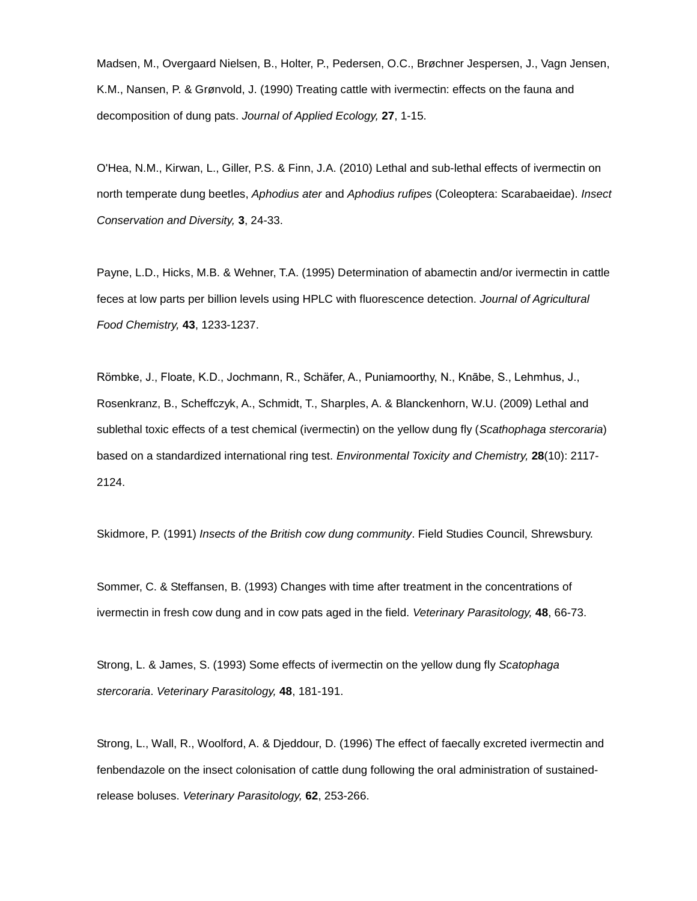Madsen, M., Overgaard Nielsen, B., Holter, P., Pedersen, O.C., Brøchner Jespersen, J., Vagn Jensen, K.M., Nansen, P. & Grønvold, J. (1990) Treating cattle with ivermectin: effects on the fauna and decomposition of dung pats. *Journal of Applied Ecology,* **27**, 1-15.

O'Hea, N.M., Kirwan, L., Giller, P.S. & Finn, J.A. (2010) Lethal and sub-lethal effects of ivermectin on north temperate dung beetles, *Aphodius ater* and *Aphodius rufipes* (Coleoptera: Scarabaeidae). *Insect Conservation and Diversity,* **3**, 24-33.

Payne, L.D., Hicks, M.B. & Wehner, T.A. (1995) Determination of abamectin and/or ivermectin in cattle feces at low parts per billion levels using HPLC with fluorescence detection. *Journal of Agricultural Food Chemistry,* **43**, 1233-1237.

Römbke, J., Floate, K.D., Jochmann, R., Schäfer, A., Puniamoorthy, N., Knābe, S., Lehmhus, J., Rosenkranz, B., Scheffczyk, A., Schmidt, T., Sharples, A. & Blanckenhorn, W.U. (2009) Lethal and sublethal toxic effects of a test chemical (ivermectin) on the yellow dung fly (*Scathophaga stercoraria*) based on a standardized international ring test. *Environmental Toxicity and Chemistry,* **28**(10): 2117- 2124.

Skidmore, P. (1991) *Insects of the British cow dung community*. Field Studies Council, Shrewsbury.

Sommer, C. & Steffansen, B. (1993) Changes with time after treatment in the concentrations of ivermectin in fresh cow dung and in cow pats aged in the field. *Veterinary Parasitology,* **48**, 66-73.

Strong, L. & James, S. (1993) Some effects of ivermectin on the yellow dung fly *Scatophaga stercoraria*. *Veterinary Parasitology,* **48**, 181-191.

Strong, L., Wall, R., Woolford, A. & Djeddour, D. (1996) The effect of faecally excreted ivermectin and fenbendazole on the insect colonisation of cattle dung following the oral administration of sustainedrelease boluses. *Veterinary Parasitology,* **62**, 253-266.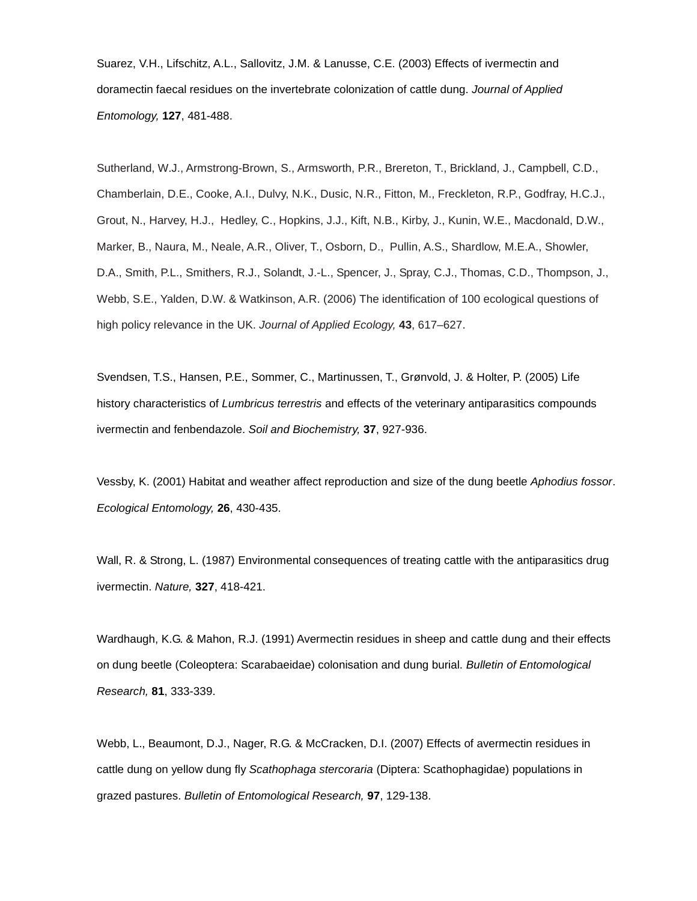Suarez, V.H., Lifschitz, A.L., Sallovitz, J.M. & Lanusse, C.E. (2003) Effects of ivermectin and doramectin faecal residues on the invertebrate colonization of cattle dung. *Journal of Applied Entomology,* **127**, 481-488.

Sutherland, W.J., Armstrong-Brown, S., Armsworth, P.R., Brereton, T., Brickland, J., Campbell, C.D., Chamberlain, D.E., Cooke, A.I., Dulvy, N.K., Dusic, N.R., Fitton, M., Freckleton, R.P., Godfray, H.C.J., Grout, N., Harvey, H.J., Hedley, C., Hopkins, J.J., Kift, N.B., Kirby, J., Kunin, W.E., Macdonald, D.W., Marker, B., Naura, M., Neale, A.R., Oliver, T., Osborn, D., Pullin, A.S., Shardlow, M.E.A., Showler, D.A., Smith, P.L., Smithers, R.J., Solandt, J.-L., Spencer, J., Spray, C.J., Thomas, C.D., Thompson, J., Webb, S.E., Yalden, D.W. & Watkinson, A.R. (2006) The identification of 100 ecological questions of high policy relevance in the UK. *Journal of Applied Ecology,* **43**, 617–627.

Svendsen, T.S., Hansen, P.E., Sommer, C., Martinussen, T., Grønvold, J. & Holter, P. (2005) Life history characteristics of *Lumbricus terrestris* and effects of the veterinary antiparasitics compounds ivermectin and fenbendazole. *Soil and Biochemistry,* **37**, 927-936.

Vessby, K. (2001) Habitat and weather affect reproduction and size of the dung beetle *Aphodius fossor*. *Ecological Entomology,* **26**, 430-435.

Wall, R. & Strong, L. (1987) Environmental consequences of treating cattle with the antiparasitics drug ivermectin. *Nature,* **327**, 418-421.

Wardhaugh, K.G. & Mahon, R.J. (1991) Avermectin residues in sheep and cattle dung and their effects on dung beetle (Coleoptera: Scarabaeidae) colonisation and dung burial. *Bulletin of Entomological Research,* **81**, 333-339.

Webb, L., Beaumont, D.J., Nager, R.G. & McCracken, D.I. (2007) Effects of avermectin residues in cattle dung on yellow dung fly *Scathophaga stercoraria* (Diptera: Scathophagidae) populations in grazed pastures. *Bulletin of Entomological Research,* **97**, 129-138.